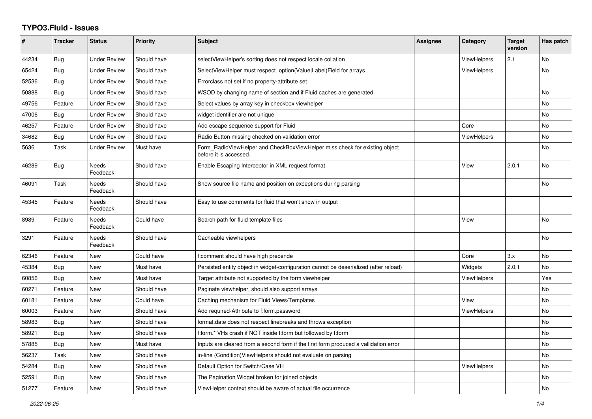## **TYPO3.Fluid - Issues**

| #     | <b>Tracker</b> | <b>Status</b>            | <b>Priority</b> | Subject                                                                                              | Assignee | Category           | <b>Target</b><br>version | Has patch |
|-------|----------------|--------------------------|-----------------|------------------------------------------------------------------------------------------------------|----------|--------------------|--------------------------|-----------|
| 44234 | Bug            | <b>Under Review</b>      | Should have     | selectViewHelper's sorting does not respect locale collation                                         |          | ViewHelpers        | 2.1                      | No        |
| 65424 | Bug            | <b>Under Review</b>      | Should have     | SelectViewHelper must respect option(Value Label)Field for arrays                                    |          | ViewHelpers        |                          | <b>No</b> |
| 52536 | Bug            | <b>Under Review</b>      | Should have     | Errorclass not set if no property-attribute set                                                      |          |                    |                          |           |
| 50888 | Bug            | <b>Under Review</b>      | Should have     | WSOD by changing name of section and if Fluid caches are generated                                   |          |                    |                          | No        |
| 49756 | Feature        | <b>Under Review</b>      | Should have     | Select values by array key in checkbox viewhelper                                                    |          |                    |                          | No        |
| 47006 | <b>Bug</b>     | <b>Under Review</b>      | Should have     | widget identifier are not unique                                                                     |          |                    |                          | <b>No</b> |
| 46257 | Feature        | <b>Under Review</b>      | Should have     | Add escape sequence support for Fluid                                                                |          | Core               |                          | No        |
| 34682 | Bug            | <b>Under Review</b>      | Should have     | Radio Button missing checked on validation error                                                     |          | <b>ViewHelpers</b> |                          | No        |
| 5636  | Task           | <b>Under Review</b>      | Must have       | Form RadioViewHelper and CheckBoxViewHelper miss check for existing object<br>before it is accessed. |          |                    |                          | No        |
| 46289 | <b>Bug</b>     | <b>Needs</b><br>Feedback | Should have     | Enable Escaping Interceptor in XML request format                                                    |          | View               | 2.0.1                    | <b>No</b> |
| 46091 | Task           | <b>Needs</b><br>Feedback | Should have     | Show source file name and position on exceptions during parsing                                      |          |                    |                          | <b>No</b> |
| 45345 | Feature        | Needs<br>Feedback        | Should have     | Easy to use comments for fluid that won't show in output                                             |          |                    |                          |           |
| 8989  | Feature        | Needs<br>Feedback        | Could have      | Search path for fluid template files                                                                 |          | View               |                          | No        |
| 3291  | Feature        | Needs<br>Feedback        | Should have     | Cacheable viewhelpers                                                                                |          |                    |                          | No        |
| 62346 | Feature        | <b>New</b>               | Could have      | f:comment should have high precende                                                                  |          | Core               | 3.x                      | <b>No</b> |
| 45384 | Bug            | New                      | Must have       | Persisted entity object in widget-configuration cannot be deserialized (after reload)                |          | Widgets            | 2.0.1                    | <b>No</b> |
| 60856 | Bug            | New                      | Must have       | Target attribute not supported by the form viewhelper                                                |          | <b>ViewHelpers</b> |                          | Yes       |
| 60271 | Feature        | New                      | Should have     | Paginate viewhelper, should also support arrays                                                      |          |                    |                          | No        |
| 60181 | Feature        | <b>New</b>               | Could have      | Caching mechanism for Fluid Views/Templates                                                          |          | View               |                          | <b>No</b> |
| 60003 | Feature        | New                      | Should have     | Add required-Attribute to f:form.password                                                            |          | ViewHelpers        |                          | <b>No</b> |
| 58983 | Bug            | New                      | Should have     | format.date does not respect linebreaks and throws exception                                         |          |                    |                          | No        |
| 58921 | Bug            | New                      | Should have     | f:form.* VHs crash if NOT inside f:form but followed by f:form                                       |          |                    |                          | No        |
| 57885 | <b>Bug</b>     | <b>New</b>               | Must have       | Inputs are cleared from a second form if the first form produced a vallidation error                 |          |                    |                          | <b>No</b> |
| 56237 | Task           | <b>New</b>               | Should have     | in-line (Condition) View Helpers should not evaluate on parsing                                      |          |                    |                          | <b>No</b> |
| 54284 | Bug            | New                      | Should have     | Default Option for Switch/Case VH                                                                    |          | ViewHelpers        |                          | No        |
| 52591 | Bug            | New                      | Should have     | The Pagination Widget broken for joined objects                                                      |          |                    |                          | No        |
| 51277 | Feature        | <b>New</b>               | Should have     | ViewHelper context should be aware of actual file occurrence                                         |          |                    |                          | No        |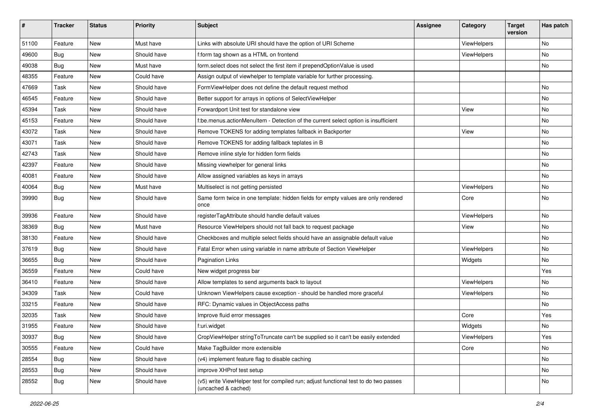| #     | <b>Tracker</b> | <b>Status</b> | <b>Priority</b> | Subject                                                                                                     | <b>Assignee</b> | Category    | <b>Target</b><br>version | Has patch |
|-------|----------------|---------------|-----------------|-------------------------------------------------------------------------------------------------------------|-----------------|-------------|--------------------------|-----------|
| 51100 | Feature        | New           | Must have       | Links with absolute URI should have the option of URI Scheme                                                |                 | ViewHelpers |                          | <b>No</b> |
| 49600 | Bug            | New           | Should have     | f:form tag shown as a HTML on frontend                                                                      |                 | ViewHelpers |                          | No        |
| 49038 | Bug            | New           | Must have       | form.select does not select the first item if prependOptionValue is used                                    |                 |             |                          | No        |
| 48355 | Feature        | New           | Could have      | Assign output of viewhelper to template variable for further processing.                                    |                 |             |                          |           |
| 47669 | Task           | New           | Should have     | FormViewHelper does not define the default request method                                                   |                 |             |                          | No        |
| 46545 | Feature        | <b>New</b>    | Should have     | Better support for arrays in options of SelectViewHelper                                                    |                 |             |                          | No        |
| 45394 | Task           | New           | Should have     | Forwardport Unit test for standalone view                                                                   |                 | View        |                          | No        |
| 45153 | Feature        | New           | Should have     | f:be.menus.actionMenuItem - Detection of the current select option is insufficient                          |                 |             |                          | No        |
| 43072 | Task           | New           | Should have     | Remove TOKENS for adding templates fallback in Backporter                                                   |                 | View        |                          | No        |
| 43071 | Task           | New           | Should have     | Remove TOKENS for adding fallback teplates in B                                                             |                 |             |                          | No        |
| 42743 | Task           | New           | Should have     | Remove inline style for hidden form fields                                                                  |                 |             |                          | No        |
| 42397 | Feature        | New           | Should have     | Missing viewhelper for general links                                                                        |                 |             |                          | No        |
| 40081 | Feature        | New           | Should have     | Allow assigned variables as keys in arrays                                                                  |                 |             |                          | No        |
| 40064 | Bug            | New           | Must have       | Multiselect is not getting persisted                                                                        |                 | ViewHelpers |                          | No        |
| 39990 | Bug            | New           | Should have     | Same form twice in one template: hidden fields for empty values are only rendered<br>once                   |                 | Core        |                          | No        |
| 39936 | Feature        | New           | Should have     | registerTagAttribute should handle default values                                                           |                 | ViewHelpers |                          | <b>No</b> |
| 38369 | Bug            | New           | Must have       | Resource ViewHelpers should not fall back to request package                                                |                 | View        |                          | No        |
| 38130 | Feature        | New           | Should have     | Checkboxes and multiple select fields should have an assignable default value                               |                 |             |                          | No        |
| 37619 | Bug            | New           | Should have     | Fatal Error when using variable in name attribute of Section ViewHelper                                     |                 | ViewHelpers |                          | No        |
| 36655 | Bug            | New           | Should have     | <b>Pagination Links</b>                                                                                     |                 | Widgets     |                          | No        |
| 36559 | Feature        | New           | Could have      | New widget progress bar                                                                                     |                 |             |                          | Yes       |
| 36410 | Feature        | New           | Should have     | Allow templates to send arguments back to layout                                                            |                 | ViewHelpers |                          | No        |
| 34309 | Task           | New           | Could have      | Unknown ViewHelpers cause exception - should be handled more graceful                                       |                 | ViewHelpers |                          | No        |
| 33215 | Feature        | New           | Should have     | RFC: Dynamic values in ObjectAccess paths                                                                   |                 |             |                          | No        |
| 32035 | Task           | New           | Should have     | Improve fluid error messages                                                                                |                 | Core        |                          | Yes       |
| 31955 | Feature        | New           | Should have     | f:uri.widget                                                                                                |                 | Widgets     |                          | No        |
| 30937 | <b>Bug</b>     | New           | Should have     | CropViewHelper stringToTruncate can't be supplied so it can't be easily extended                            |                 | ViewHelpers |                          | Yes       |
| 30555 | Feature        | New           | Could have      | Make TagBuilder more extensible                                                                             |                 | Core        |                          | No        |
| 28554 | <b>Bug</b>     | New           | Should have     | (v4) implement feature flag to disable caching                                                              |                 |             |                          | No        |
| 28553 | Bug            | New           | Should have     | improve XHProf test setup                                                                                   |                 |             |                          | No        |
| 28552 | <b>Bug</b>     | New           | Should have     | (v5) write ViewHelper test for compiled run; adjust functional test to do two passes<br>(uncached & cached) |                 |             |                          | No        |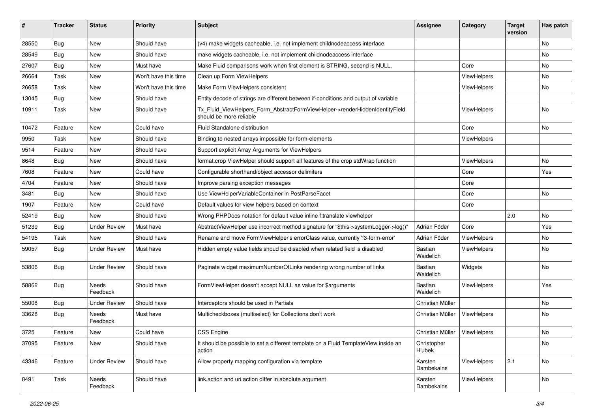| ∦     | <b>Tracker</b> | <b>Status</b>       | <b>Priority</b>      | <b>Subject</b>                                                                                         | <b>Assignee</b>                | Category    | <b>Target</b><br>version | Has patch |
|-------|----------------|---------------------|----------------------|--------------------------------------------------------------------------------------------------------|--------------------------------|-------------|--------------------------|-----------|
| 28550 | Bug            | New                 | Should have          | (v4) make widgets cacheable, i.e. not implement childnodeaccess interface                              |                                |             |                          | No        |
| 28549 | <b>Bug</b>     | New                 | Should have          | make widgets cacheable, i.e. not implement childnodeaccess interface                                   |                                |             |                          | No        |
| 27607 | <b>Bug</b>     | New                 | Must have            | Make Fluid comparisons work when first element is STRING, second is NULL.                              |                                | Core        |                          | No        |
| 26664 | Task           | New                 | Won't have this time | Clean up Form ViewHelpers                                                                              |                                | ViewHelpers |                          | No        |
| 26658 | Task           | New                 | Won't have this time | Make Form ViewHelpers consistent                                                                       |                                | ViewHelpers |                          | No        |
| 13045 | Bug            | New                 | Should have          | Entity decode of strings are different between if-conditions and output of variable                    |                                |             |                          |           |
| 10911 | Task           | New                 | Should have          | Tx Fluid ViewHelpers Form AbstractFormViewHelper->renderHiddenIdentityField<br>should be more reliable |                                | ViewHelpers |                          | No        |
| 10472 | Feature        | New                 | Could have           | Fluid Standalone distribution                                                                          |                                | Core        |                          | No        |
| 9950  | Task           | New                 | Should have          | Binding to nested arrays impossible for form-elements                                                  |                                | ViewHelpers |                          |           |
| 9514  | Feature        | New                 | Should have          | Support explicit Array Arguments for ViewHelpers                                                       |                                |             |                          |           |
| 8648  | <b>Bug</b>     | New                 | Should have          | format.crop ViewHelper should support all features of the crop stdWrap function                        |                                | ViewHelpers |                          | <b>No</b> |
| 7608  | Feature        | New                 | Could have           | Configurable shorthand/object accessor delimiters                                                      |                                | Core        |                          | Yes       |
| 4704  | Feature        | <b>New</b>          | Should have          | Improve parsing exception messages                                                                     |                                | Core        |                          |           |
| 3481  | <b>Bug</b>     | New                 | Should have          | Use ViewHelperVariableContainer in PostParseFacet                                                      |                                | Core        |                          | No        |
| 1907  | Feature        | New                 | Could have           | Default values for view helpers based on context                                                       |                                | Core        |                          |           |
| 52419 | Bug            | <b>New</b>          | Should have          | Wrong PHPDocs notation for default value inline f:translate viewhelper                                 |                                |             | 2.0                      | No.       |
| 51239 | <b>Bug</b>     | <b>Under Review</b> | Must have            | AbstractViewHelper use incorrect method signature for "\$this->systemLogger->log()"                    | Adrian Föder                   | Core        |                          | Yes       |
| 54195 | Task           | New                 | Should have          | Rename and move FormViewHelper's errorClass value, currently 'f3-form-error'                           | Adrian Föder                   | ViewHelpers |                          | No        |
| 59057 | <b>Bug</b>     | Under Review        | Must have            | Hidden empty value fields shoud be disabled when related field is disabled                             | <b>Bastian</b><br>Waidelich    | ViewHelpers |                          | No        |
| 53806 | <b>Bug</b>     | <b>Under Review</b> | Should have          | Paginate widget maximumNumberOfLinks rendering wrong number of links                                   | Bastian<br>Waidelich           | Widgets     |                          | No        |
| 58862 | Bug            | Needs<br>Feedback   | Should have          | FormViewHelper doesn't accept NULL as value for \$arguments                                            | Bastian<br>Waidelich           | ViewHelpers |                          | Yes       |
| 55008 | Bug            | <b>Under Review</b> | Should have          | Interceptors should be used in Partials                                                                | Christian Müller               |             |                          | No.       |
| 33628 | <b>Bug</b>     | Needs<br>Feedback   | Must have            | Multicheckboxes (multiselect) for Collections don't work                                               | Christian Müller               | ViewHelpers |                          | No        |
| 3725  | Feature        | New                 | Could have           | <b>CSS Engine</b>                                                                                      | Christian Müller   ViewHelpers |             |                          | No        |
| 37095 | Feature        | New                 | Should have          | It should be possible to set a different template on a Fluid TemplateView inside an<br>action          | Christopher<br>Hlubek          |             |                          | No        |
| 43346 | Feature        | <b>Under Review</b> | Should have          | Allow property mapping configuration via template                                                      | Karsten<br>Dambekalns          | ViewHelpers | 2.1                      | No        |
| 8491  | Task           | Needs<br>Feedback   | Should have          | link.action and uri.action differ in absolute argument                                                 | Karsten<br>Dambekalns          | ViewHelpers |                          | No        |